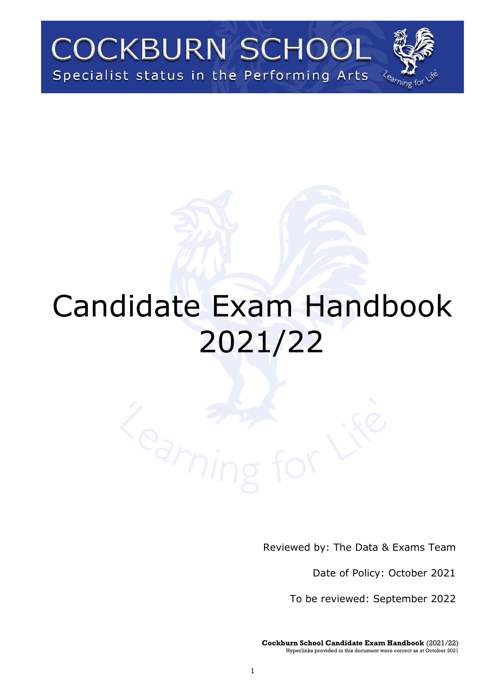# **COCKBURN SCHOOL** Specialist status in the Performing Arts

# Candidate Exam Handbook 2021/22

Reviewed by: The Data & Exams Team

Date of Policy: October 2021

To be reviewed: September 2022

**Cockburn School Candidate Exam Handbook** (2021/22) Hyperlinks provided in this document were correct as at October 2021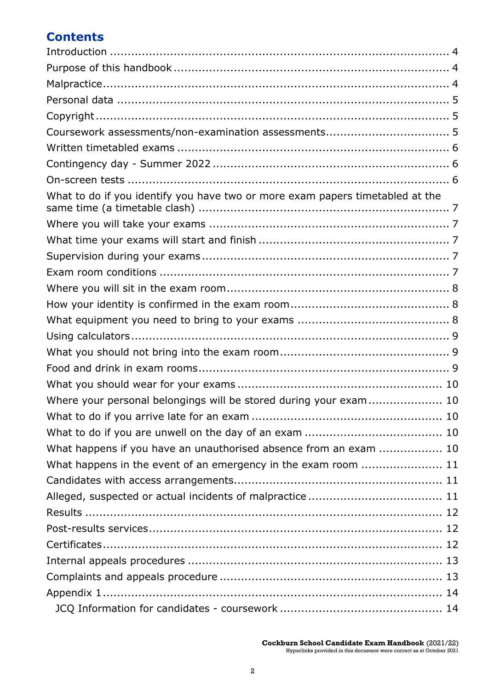# **Contents**

| What to do if you identify you have two or more exam papers timetabled at the |
|-------------------------------------------------------------------------------|
|                                                                               |
|                                                                               |
|                                                                               |
|                                                                               |
|                                                                               |
|                                                                               |
|                                                                               |
|                                                                               |
|                                                                               |
|                                                                               |
|                                                                               |
| Where your personal belongings will be stored during your exam  10            |
|                                                                               |
|                                                                               |
| What happens if you have an unauthorised absence from an exam  10             |
| What happens in the event of an emergency in the exam room  11                |
|                                                                               |
|                                                                               |
|                                                                               |
|                                                                               |
|                                                                               |
|                                                                               |
|                                                                               |
|                                                                               |
|                                                                               |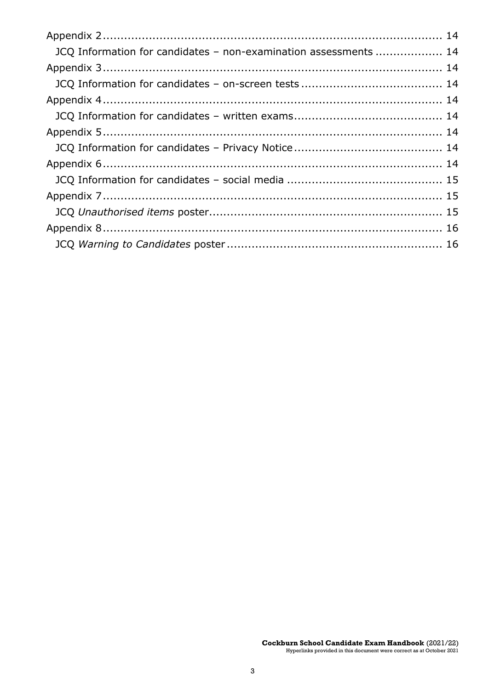| JCQ Information for candidates - non-examination assessments  14 |  |
|------------------------------------------------------------------|--|
|                                                                  |  |
|                                                                  |  |
|                                                                  |  |
|                                                                  |  |
|                                                                  |  |
|                                                                  |  |
|                                                                  |  |
|                                                                  |  |
|                                                                  |  |
|                                                                  |  |
|                                                                  |  |
|                                                                  |  |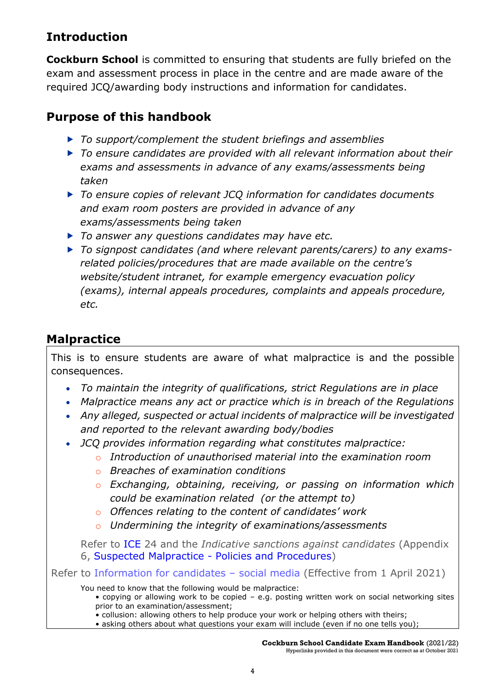# <span id="page-3-0"></span>**Introduction**

**Cockburn School** is committed to ensuring that students are fully briefed on the exam and assessment process in place in the centre and are made aware of the required JCQ/awarding body instructions and information for candidates.

# <span id="page-3-1"></span>**Purpose of this handbook**

- *To support/complement the student briefings and assemblies*
- *To ensure candidates are provided with all relevant information about their exams and assessments in advance of any exams/assessments being taken*
- *To ensure copies of relevant JCQ information for candidates documents and exam room posters are provided in advance of any exams/assessments being taken*
- *To answer any questions candidates may have etc.*
- *To signpost candidates (and where relevant parents/carers) to any examsrelated policies/procedures that are made available on the centre's website/student intranet, for example emergency evacuation policy (exams), internal appeals procedures, complaints and appeals procedure, etc.*

# <span id="page-3-2"></span>**Malpractice**

This is to ensure students are aware of what malpractice is and the possible consequences.

- *To maintain the integrity of qualifications, strict Regulations are in place*
- *Malpractice means any act or practice which is in breach of the Regulations*
- *Any alleged, suspected or actual incidents of malpractice will be investigated and reported to the relevant awarding body/bodies*
- *JCQ provides information regarding what constitutes malpractice:*
	- o *Introduction of unauthorised material into the examination room*
		- o *Breaches of examination conditions*
		- o *Exchanging, obtaining, receiving, or passing on information which could be examination related (or the attempt to)*
		- o *Offences relating to the content of candidates' work*
		- o *Undermining the integrity of examinations/assessments*

Refer to [ICE](http://www.jcq.org.uk/exams-office/ice---instructions-for-conducting-examinations) 24 and the *Indicative sanctions against candidates* (Appendix 6, [Suspected Malpractice -](http://www.jcq.org.uk/exams-office/malpractice) Policies and Procedures)

Refer to [Information for candidates](http://www.jcq.org.uk/exams-office/information-for-candidates-documents) – social media (Effective from 1 April 2021)

You need to know that the following would be malpractice:

- copying or allowing work to be copied e.g. posting written work on social networking sites prior to an examination/assessment;
- collusion: allowing others to help produce your work or helping others with theirs;
- asking others about what questions your exam will include (even if no one tells you);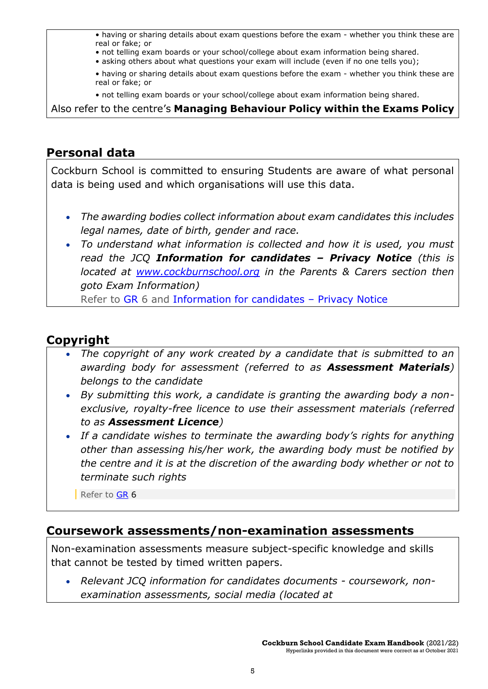• having or sharing details about exam questions before the exam - whether you think these are real or fake; or

- not telling exam boards or your school/college about exam information being shared.
- asking others about what questions your exam will include (even if no one tells you);
- having or sharing details about exam questions before the exam whether you think these are real or fake; or
- not telling exam boards or your school/college about exam information being shared.

Also refer to the centre's **Managing Behaviour Policy within the Exams Policy**

# <span id="page-4-0"></span>**Personal data**

Cockburn School is committed to ensuring Students are aware of what personal data is being used and which organisations will use this data.

- *The awarding bodies collect information about exam candidates this includes legal names, date of birth, gender and race.*
- *To understand what information is collected and how it is used, you must read the JCQ Information for candidates – Privacy Notice (this is located at [www.cockburnschool.org](http://www.cockburnschool.org/) in the Parents & Carers section then goto Exam Information)* Refer to [GR](http://www.jcq.org.uk/exams-office/general-regulations) 6 and [Information for candidates](http://www.jcq.org.uk/exams-office/information-for-candidates-documents) – Privacy Notice

# <span id="page-4-1"></span>**Copyright**

- *The copyright of any work created by a candidate that is submitted to an awarding body for assessment (referred to as Assessment Materials) belongs to the candidate*
- *By submitting this work, a candidate is granting the awarding body a nonexclusive, royalty-free licence to use their assessment materials (referred to as Assessment Licence)*
- *If a candidate wishes to terminate the awarding body's rights for anything other than assessing his/her work, the awarding body must be notified by the centre and it is at the discretion of the awarding body whether or not to terminate such rights*

Refer to [GR](http://www.jcq.org.uk/exams-office/general-regulations)<sub>6</sub>

# <span id="page-4-2"></span>**Coursework assessments/non-examination assessments**

Non-examination assessments measure subject-specific knowledge and skills that cannot be tested by timed written papers.

• *Relevant JCQ information for candidates documents - coursework, nonexamination assessments, social media (located at*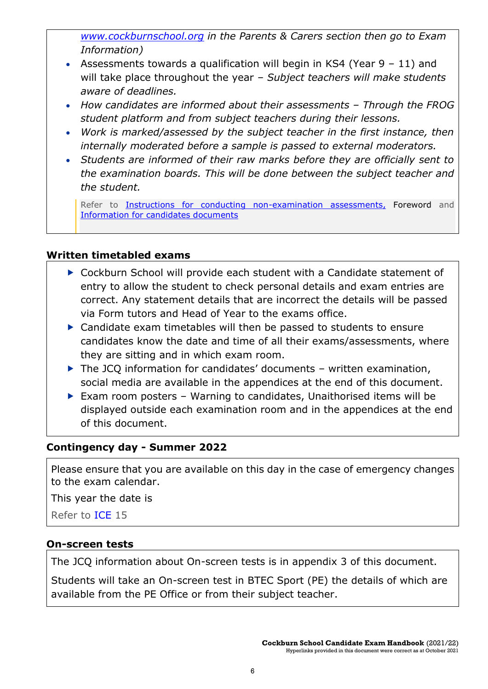*[www.cockburnschool.org](http://www.cockburnschool.org/) in the Parents & Carers section then go to Exam Information)*

- Assessments towards a qualification will begin in KS4 (Year 9 11) and will take place throughout the year *– Subject teachers will make students aware of deadlines.*
- How candidates are informed about their assessments Through the FROG *student platform and from subject teachers during their lessons.*
- *Work is marked/assessed by the subject teacher in the first instance, then internally moderated before a sample is passed to external moderators.*
- *Students are informed of their raw marks before they are officially sent to the examination boards. This will be done between the subject teacher and the student.*

Refer to **Instructions for conducting non-examination assessments**, Foreword and [Information for candidates documents](http://www.jcq.org.uk/exams-office/information-for-candidates-documents)

#### <span id="page-5-0"></span>**Written timetabled exams**

- ▶ Cockburn School will provide each student with a Candidate statement of entry to allow the student to check personal details and exam entries are correct. Any statement details that are incorrect the details will be passed via Form tutors and Head of Year to the exams office.
- ▶ Candidate exam timetables will then be passed to students to ensure candidates know the date and time of all their exams/assessments, where they are sitting and in which exam room.
- $\triangleright$  The JCQ information for candidates' documents written examination, social media are available in the appendices at the end of this document.
- Exam room posters Warning to candidates, Unaithorised items will be displayed outside each examination room and in the appendices at the end of this document.

#### <span id="page-5-1"></span>**Contingency day - Summer 2022**

Please ensure that you are available on this day in the case of emergency changes to the exam calendar.

This year the date is

Refer to [ICE](http://www.jcq.org.uk/exams-office/ice---instructions-for-conducting-examinations) 15

#### <span id="page-5-2"></span>**On-screen tests**

The JCQ information about On-screen tests is in appendix 3 of this document.

Students will take an On-screen test in BTEC Sport (PE) the details of which are available from the PE Office or from their subject teacher.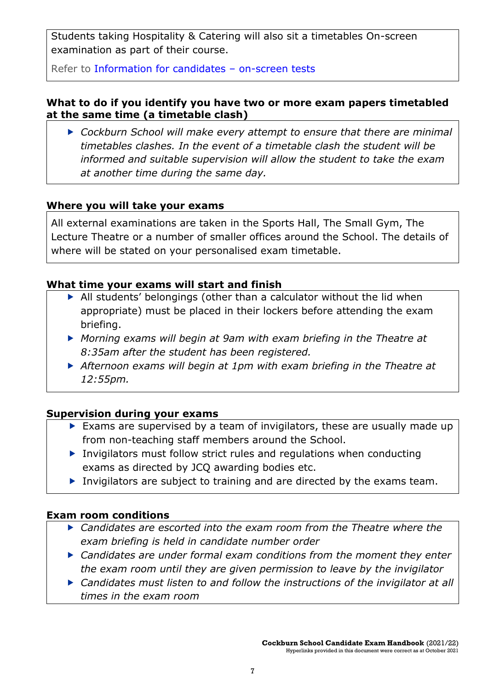Students taking Hospitality & Catering will also sit a timetables On-screen examination as part of their course.

Refer to [Information for candidates](http://www.jcq.org.uk/exams-office/information-for-candidates-documents) – on-screen tests

#### <span id="page-6-0"></span>**What to do if you identify you have two or more exam papers timetabled at the same time (a timetable clash)**

 *Cockburn School will make every attempt to ensure that there are minimal timetables clashes. In the event of a timetable clash the student will be informed and suitable supervision will allow the student to take the exam at another time during the same day.*

#### <span id="page-6-1"></span>**Where you will take your exams**

All external examinations are taken in the Sports Hall, The Small Gym, The Lecture Theatre or a number of smaller offices around the School. The details of where will be stated on your personalised exam timetable.

#### <span id="page-6-2"></span>**What time your exams will start and finish**

- All students' belongings (other than a calculator without the lid when appropriate) must be placed in their lockers before attending the exam briefing.
- *Morning exams will begin at 9am with exam briefing in the Theatre at 8:35am after the student has been registered.*
- *Afternoon exams will begin at 1pm with exam briefing in the Theatre at 12:55pm.*

#### <span id="page-6-3"></span>**Supervision during your exams**

- Exams are supervised by a team of invigilators, these are usually made up from non-teaching staff members around the School.
- $\triangleright$  Invigilators must follow strict rules and regulations when conducting exams as directed by JCQ awarding bodies etc.
- Invigilators are subject to training and are directed by the exams team.

#### <span id="page-6-4"></span>**Exam room conditions**

- *Candidates are escorted into the exam room from the Theatre where the exam briefing is held in candidate number order*
- *Candidates are under formal exam conditions from the moment they enter the exam room until they are given permission to leave by the invigilator*
- *Candidates must listen to and follow the instructions of the invigilator at all times in the exam room*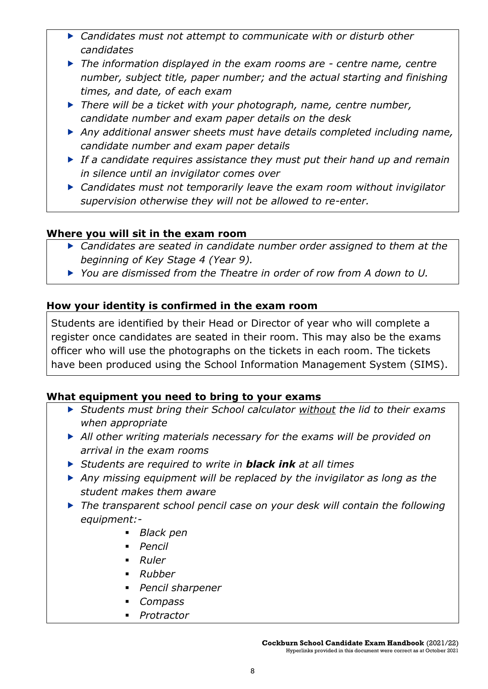- *Candidates must not attempt to communicate with or disturb other candidates*
- *The information displayed in the exam rooms are - centre name, centre number, subject title, paper number; and the actual starting and finishing times, and date, of each exam*
- *There will be a ticket with your photograph, name, centre number, candidate number and exam paper details on the desk*
- *Any additional answer sheets must have details completed including name, candidate number and exam paper details*
- *If a candidate requires assistance they must put their hand up and remain in silence until an invigilator comes over*
- *Candidates must not temporarily leave the exam room without invigilator supervision otherwise they will not be allowed to re-enter.*

#### <span id="page-7-0"></span>**Where you will sit in the exam room**

- *Candidates are seated in candidate number order assigned to them at the beginning of Key Stage 4 (Year 9).*
- *You are dismissed from the Theatre in order of row from A down to U.*

### <span id="page-7-1"></span>**How your identity is confirmed in the exam room**

Students are identified by their Head or Director of year who will complete a register once candidates are seated in their room. This may also be the exams officer who will use the photographs on the tickets in each room. The tickets have been produced using the School Information Management System (SIMS).

#### <span id="page-7-2"></span>**What equipment you need to bring to your exams**

- *Students must bring their School calculator without the lid to their exams when appropriate*
- *All other writing materials necessary for the exams will be provided on arrival in the exam rooms*
- *Students are required to write in black ink at all times*
- *Any missing equipment will be replaced by the invigilator as long as the student makes them aware*
- *The transparent school pencil case on your desk will contain the following equipment:-*
	- *Black pen*
	- *Pencil*
	- *Ruler*
	- *Rubber*
	- *Pencil sharpener*
	- *Compass*
	- *Protractor*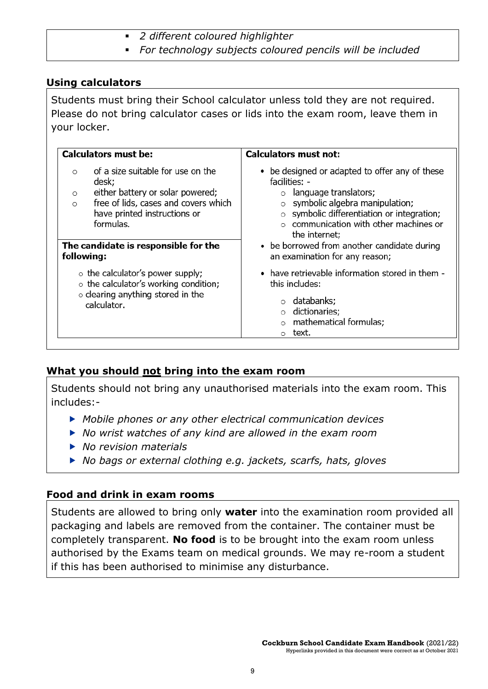- *2 different coloured highlighter*
- *For technology subjects coloured pencils will be included*

#### <span id="page-8-0"></span>**Using calculators**

Students must bring their School calculator unless told they are not required. Please do not bring calculator cases or lids into the exam room, leave them in your locker.

| <b>Calculators must be:</b>                                                                                                                                                                                                                                | <b>Calculators must not:</b>                                                                                                                                                                                                                                                                                             |  |  |  |
|------------------------------------------------------------------------------------------------------------------------------------------------------------------------------------------------------------------------------------------------------------|--------------------------------------------------------------------------------------------------------------------------------------------------------------------------------------------------------------------------------------------------------------------------------------------------------------------------|--|--|--|
| of a size suitable for use on the<br>$\circ$<br>desk;<br>either battery or solar powered;<br>$\circ$<br>free of lids, cases and covers which<br>$\circ$<br>have printed instructions or<br>formulas.<br>The candidate is responsible for the<br>following: | • be designed or adapted to offer any of these<br>facilities: -<br>language translators;<br>symbolic algebra manipulation;<br>symbolic differentiation or integration;<br>$\circ$ communication with other machines or<br>the internet;<br>• be borrowed from another candidate during<br>an examination for any reason; |  |  |  |
| $\circ$ the calculator's power supply;<br>$\circ$ the calculator's working condition;<br>$\circ$ clearing anything stored in the<br>calculator.                                                                                                            | • have retrievable information stored in them -<br>this includes:<br>○ databanks;<br>o dictionaries;<br>mathematical formulas;<br>text.                                                                                                                                                                                  |  |  |  |

#### <span id="page-8-1"></span>**What you should not bring into the exam room**

Students should not bring any unauthorised materials into the exam room. This includes:-

- *Mobile phones or any other electrical communication devices*
- *No wrist watches of any kind are allowed in the exam room*
- *No revision materials*
- *No bags or external clothing e.g. jackets, scarfs, hats, gloves*

#### <span id="page-8-2"></span>**Food and drink in exam rooms**

Students are allowed to bring only **water** into the examination room provided all packaging and labels are removed from the container. The container must be completely transparent. **No food** is to be brought into the exam room unless authorised by the Exams team on medical grounds. We may re-room a student if this has been authorised to minimise any disturbance.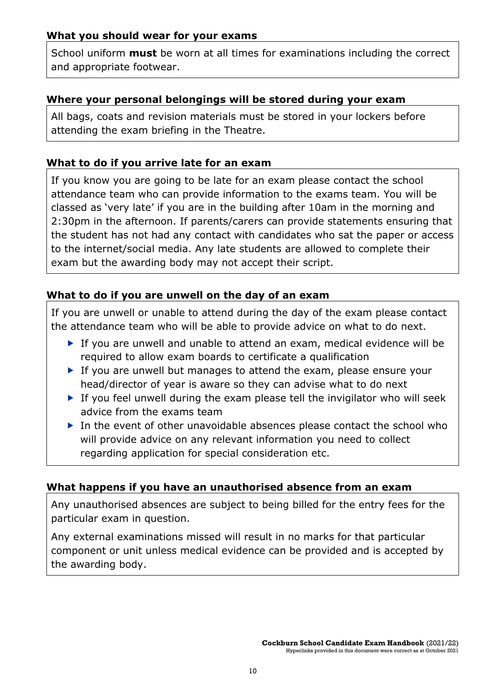#### <span id="page-9-0"></span>**What you should wear for your exams**

School uniform **must** be worn at all times for examinations including the correct and appropriate footwear.

#### <span id="page-9-1"></span>**Where your personal belongings will be stored during your exam**

All bags, coats and revision materials must be stored in your lockers before attending the exam briefing in the Theatre.

#### <span id="page-9-2"></span>**What to do if you arrive late for an exam**

If you know you are going to be late for an exam please contact the school attendance team who can provide information to the exams team. You will be classed as 'very late' if you are in the building after 10am in the morning and 2:30pm in the afternoon. If parents/carers can provide statements ensuring that the student has not had any contact with candidates who sat the paper or access to the internet/social media. Any late students are allowed to complete their exam but the awarding body may not accept their script.

#### <span id="page-9-3"></span>**What to do if you are unwell on the day of an exam**

If you are unwell or unable to attend during the day of the exam please contact the attendance team who will be able to provide advice on what to do next.

- ▶ If you are unwell and unable to attend an exam, medical evidence will be required to allow exam boards to certificate a qualification
- If you are unwell but manages to attend the exam, please ensure your head/director of year is aware so they can advise what to do next
- If you feel unwell during the exam please tell the invigilator who will seek advice from the exams team
- ▶ In the event of other unavoidable absences please contact the school who will provide advice on any relevant information you need to collect regarding application for special consideration etc.

#### <span id="page-9-4"></span>**What happens if you have an unauthorised absence from an exam**

Any unauthorised absences are subject to being billed for the entry fees for the particular exam in question.

Any external examinations missed will result in no marks for that particular component or unit unless medical evidence can be provided and is accepted by the awarding body.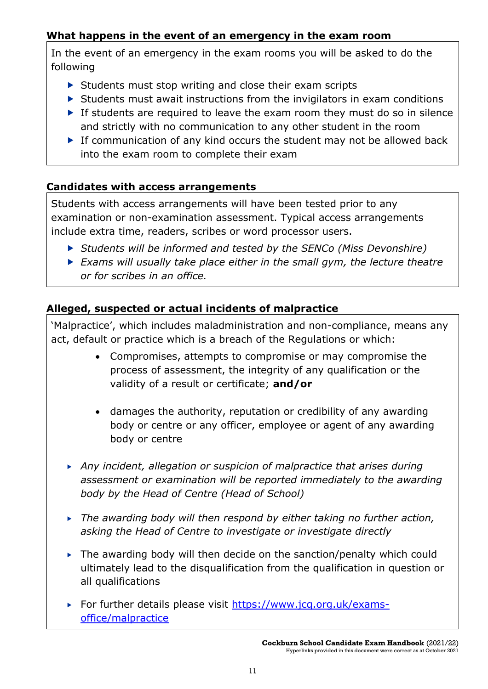### <span id="page-10-0"></span>**What happens in the event of an emergency in the exam room**

In the event of an emergency in the exam rooms you will be asked to do the following

- $\triangleright$  Students must stop writing and close their exam scripts
- $\triangleright$  Students must await instructions from the invigilators in exam conditions
- If students are required to leave the exam room they must do so in silence and strictly with no communication to any other student in the room
- $\triangleright$  If communication of any kind occurs the student may not be allowed back into the exam room to complete their exam

#### <span id="page-10-1"></span>**Candidates with access arrangements**

Students with access arrangements will have been tested prior to any examination or non-examination assessment. Typical access arrangements include extra time, readers, scribes or word processor users.

- *Students will be informed and tested by the SENCo (Miss Devonshire)*
- *Exams will usually take place either in the small gym, the lecture theatre or for scribes in an office.*

#### <span id="page-10-2"></span>**Alleged, suspected or actual incidents of malpractice**

'Malpractice', which includes maladministration and non-compliance, means any act, default or practice which is a breach of the Regulations or which:

- Compromises, attempts to compromise or may compromise the process of assessment, the integrity of any qualification or the validity of a result or certificate; **and/or**
- damages the authority, reputation or credibility of any awarding body or centre or any officer, employee or agent of any awarding body or centre
- *Any incident, allegation or suspicion of malpractice that arises during assessment or examination will be reported immediately to the awarding body by the Head of Centre (Head of School)*
- *The awarding body will then respond by either taking no further action, asking the Head of Centre to investigate or investigate directly*
- $\triangleright$  The awarding body will then decide on the sanction/penalty which could ultimately lead to the disqualification from the qualification in question or all qualifications
- For further details please visit [https://www.jcq.org.uk/exams](https://www.jcq.org.uk/exams-office/malpractice)[office/malpractice](https://www.jcq.org.uk/exams-office/malpractice)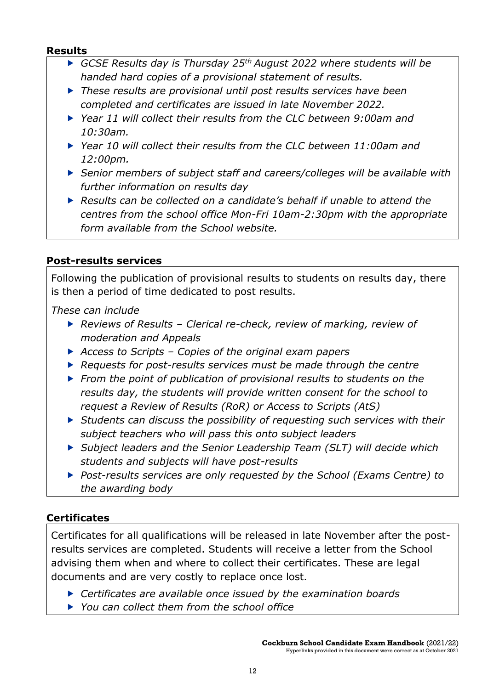#### <span id="page-11-0"></span>**Results**

- *GCSE Results day is Thursday 25th August 2022 where students will be handed hard copies of a provisional statement of results.*
- *These results are provisional until post results services have been completed and certificates are issued in late November 2022.*
- *Year 11 will collect their results from the CLC between 9:00am and 10:30am.*
- *Year 10 will collect their results from the CLC between 11:00am and 12:00pm.*
- *Senior members of subject staff and careers/colleges will be available with further information on results day*
- *Results can be collected on a candidate's behalf if unable to attend the centres from the school office Mon-Fri 10am-2:30pm with the appropriate form available from the School website.*

#### <span id="page-11-1"></span>**Post-results services**

Following the publication of provisional results to students on results day, there is then a period of time dedicated to post results.

*These can include*

- *Reviews of Results – Clerical re-check, review of marking, review of moderation and Appeals*
- *Access to Scripts – Copies of the original exam papers*
- *Requests for post-results services must be made through the centre*
- *From the point of publication of provisional results to students on the results day, the students will provide written consent for the school to request a Review of Results (RoR) or Access to Scripts (AtS)*
- *Students can discuss the possibility of requesting such services with their subject teachers who will pass this onto subject leaders*
- *Subject leaders and the Senior Leadership Team (SLT) will decide which students and subjects will have post-results*
- *Post-results services are only requested by the School (Exams Centre) to the awarding body*

#### <span id="page-11-2"></span>**Certificates**

Certificates for all qualifications will be released in late November after the postresults services are completed. Students will receive a letter from the School advising them when and where to collect their certificates. These are legal documents and are very costly to replace once lost.

- *Certificates are available once issued by the examination boards*
- *You can collect them from the school office*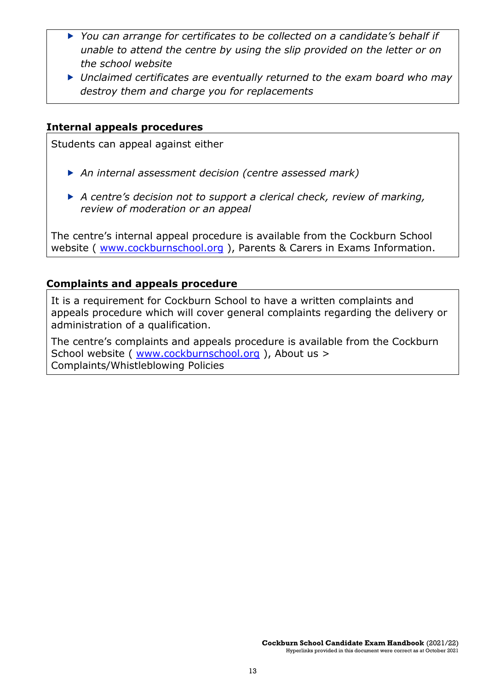- ▶ You can arrange for certificates to be collected on a candidate's behalf if *unable to attend the centre by using the slip provided on the letter or on the school website*
- *Unclaimed certificates are eventually returned to the exam board who may destroy them and charge you for replacements*

#### <span id="page-12-0"></span>**Internal appeals procedures**

Students can appeal against either

- *An internal assessment decision (centre assessed mark)*
- *A centre's decision not to support a clerical check, review of marking, review of moderation or an appeal*

The centre's internal appeal procedure is available from the Cockburn School website ( [www.cockburnschool.org](http://www.cockburnschool.org/) ), Parents & Carers in Exams Information.

#### <span id="page-12-1"></span>**Complaints and appeals procedure**

It is a requirement for Cockburn School to have a written complaints and appeals procedure which will cover general complaints regarding the delivery or administration of a qualification.

The centre's complaints and appeals procedure is available from the Cockburn School website ( [www.cockburnschool.org](http://www.cockburnschool.org/) ), About us > Complaints/Whistleblowing Policies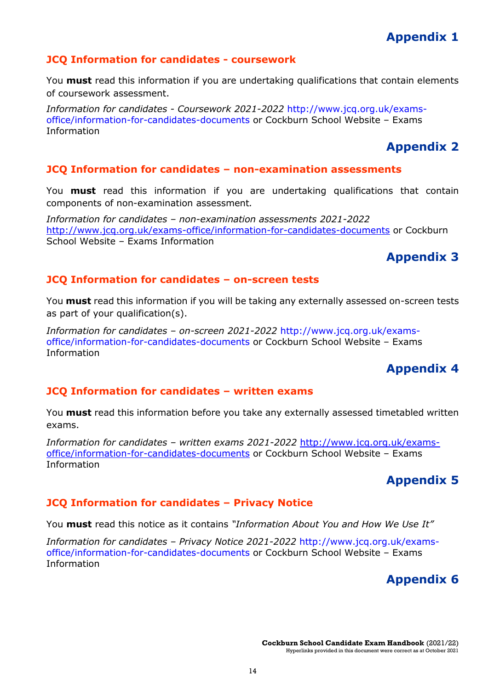# **Appendix 1**

#### <span id="page-13-1"></span><span id="page-13-0"></span>**JCQ Information for candidates - coursework**

You **must** read this information if you are undertaking qualifications that contain elements of coursework assessment.

*Information for candidates - Coursework 2021-2022* [http://www.jcq.org.uk/exams](http://www.jcq.org.uk/exams-office/information-for-candidates-documents)[office/information-for-candidates-documents](http://www.jcq.org.uk/exams-office/information-for-candidates-documents) or Cockburn School Website – Exams Information

# **Appendix 2**

#### <span id="page-13-3"></span><span id="page-13-2"></span>**JCQ Information for candidates – non-examination assessments**

You **must** read this information if you are undertaking qualifications that contain components of non-examination assessment*.* 

*Information for candidates – non-examination assessments 2021-2022*  <http://www.jcq.org.uk/exams-office/information-for-candidates-documents> or Cockburn School Website – Exams Information

# **Appendix 3**

#### <span id="page-13-5"></span><span id="page-13-4"></span>**JCQ Information for candidates – on-screen tests**

You **must** read this information if you will be taking any externally assessed on-screen tests as part of your qualification(s).

*Information for candidates – on-screen 2021-2022* [http://www.jcq.org.uk/exams](http://www.jcq.org.uk/exams-office/information-for-candidates-documents)[office/information-for-candidates-documents](http://www.jcq.org.uk/exams-office/information-for-candidates-documents) or Cockburn School Website – Exams Information

# **Appendix 4**

#### <span id="page-13-7"></span><span id="page-13-6"></span>**JCQ Information for candidates – written exams**

You **must** read this information before you take any externally assessed timetabled written exams.

*Information for candidates – written exams 2021-2022* [http://www.jcq.org.uk/exams](http://www.jcq.org.uk/exams-office/information-for-candidates-documents)[office/information-for-candidates-documents](http://www.jcq.org.uk/exams-office/information-for-candidates-documents) or Cockburn School Website – Exams Information

# **Appendix 5**

#### <span id="page-13-9"></span><span id="page-13-8"></span>**JCQ Information for candidates – Privacy Notice**

You **must** read this notice as it contains *"Information About You and How We Use It"* 

<span id="page-13-10"></span>*Information for candidates – Privacy Notice 2021-2022* [http://www.jcq.org.uk/exams](http://www.jcq.org.uk/exams-office/information-for-candidates-documents)[office/information-for-candidates-documents](http://www.jcq.org.uk/exams-office/information-for-candidates-documents) or Cockburn School Website – Exams Information

# **Appendix 6**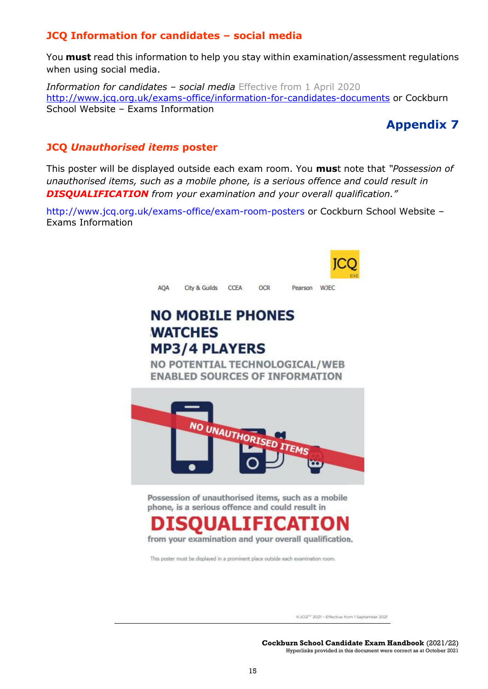#### <span id="page-14-0"></span>**JCQ Information for candidates – social media**

You **must** read this information to help you stay within examination/assessment regulations when using social media.

*Information for candidates – social media* Effective from 1 April 2020 <http://www.jcq.org.uk/exams-office/information-for-candidates-documents> or Cockburn School Website – Exams Information

# **Appendix 7**

#### <span id="page-14-2"></span><span id="page-14-1"></span>**JCQ** *Unauthorised items* **poster**

This poster will be displayed outside each exam room. You **mus**t note that *"Possession of unauthorised items, such as a mobile phone, is a serious offence and could result in DISQUALIFICATION from your examination and your overall qualification."*

<http://www.jcq.org.uk/exams-office/exam-room-posters> or Cockburn School Website – Exams Information

| AOA | City & Guilds                                                                                                                                                                                                                                                                  | CCEA | <b>OCR</b> | Pearson | <b>WIEC</b> |
|-----|--------------------------------------------------------------------------------------------------------------------------------------------------------------------------------------------------------------------------------------------------------------------------------|------|------------|---------|-------------|
|     | <b>NO MOBILE PHONES</b><br><b>WATCHES</b><br><b>MP3/4 PLAYERS</b><br>NO POTENTIAL TECHNOLOGICAL/WEB                                                                                                                                                                            |      |            |         |             |
|     | <b>ENABLED SOURCES OF INFORMATION</b><br>NO UNAUTHORISED ITEMS                                                                                                                                                                                                                 |      |            |         |             |
|     | Possession of unauthorised items, such as a mobile<br>phone, is a serious offence and could result in<br><b>DISOUALIFICATION</b><br>from your examination and your overall qualification.<br>This poster must be displayed in a prominent place outside each examination room. |      |            |         |             |

@JCQ<sup>pc</sup> 2021 - Effective from 1 September 2021